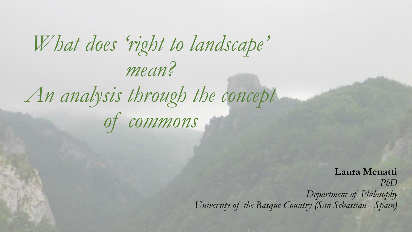# *What does 'right to landscape' mean? An analysis through the concept of commons*

**Laura Menatti** *PhD Department of Philosophy University of the Basque Country (San Sebastian - Spain)*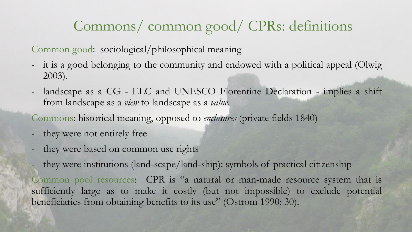### Commons/ common good/ CPRs: definitions

Common good: sociological/philosophical meaning

- it is a good belonging to the community and endowed with a political appeal (Olwig 2003).
- landscape as a CG ELC and UNESCO Florentine Declaration implies a shift from landscape as a *view* to landscape as a *value*.
- Commons: historical meaning, opposed to *enclosures* (private fields 1840)
- they were not entirely free
- they were based on common use rights
- they were institutions (land-scape/land-ship): symbols of practical citizenship

Common pool resources: CPR is "a natural or man-made resource system that is sufficiently large as to make it costly (but not impossible) to exclude potential beneficiaries from obtaining benefits to its use" (Ostrom 1990: 30).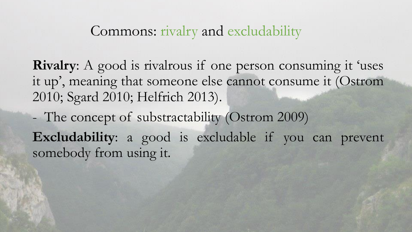### Commons: rivalry and excludability

**Rivalry**: A good is rivalrous if one person consuming it 'uses it up', meaning that someone else cannot consume it (Ostrom 2010; Sgard 2010; Helfrich 2013).

- The concept of substractability (Ostrom 2009) **Excludability**: a good is excludable if you can prevent somebody from using it.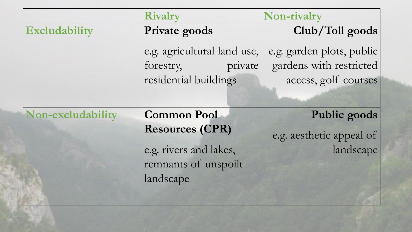|                   | <b>Rivalry</b>                                      | Non-rivalry                                          |
|-------------------|-----------------------------------------------------|------------------------------------------------------|
| Excludability     | Private goods                                       | Club/Toll goods                                      |
|                   | e.g. agricultural land use,<br>forestry,<br>private | e.g. garden plots, public<br>gardens with restricted |
|                   | residential buildings                               | access, golf courses                                 |
|                   |                                                     |                                                      |
| Non-excludability | <b>Common Pool</b>                                  | Public goods                                         |
|                   | <b>Resources (CPR)</b>                              | e.g. aesthetic appeal of                             |
|                   | e.g. rivers and lakes,                              | landscape                                            |
|                   | remnants of unspoilt                                |                                                      |
|                   | landscape                                           |                                                      |
|                   |                                                     |                                                      |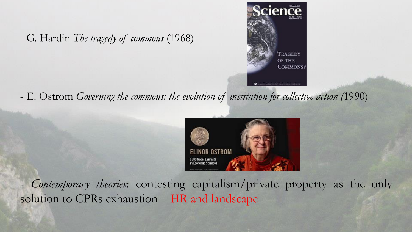- G. Hardin *The tragedy of commons* (1968)



- E. Ostrom *Governing the commons: the evolution of institution for collective action (*1990)



- *Contemporary theories*: contesting capitalism/private property as the only solution to CPRs exhaustion – HR and landscape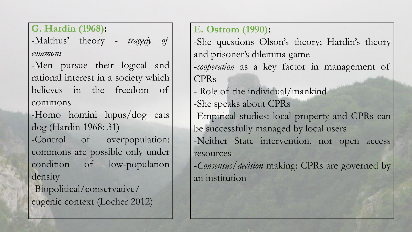**G. Hardin (1968):**

-Malthus' theory - *tragedy of commons*

-Men pursue their logical and rational interest in a society which believes in the freedom of commons

-Homo homini lupus/dog eats dog (Hardin 1968: 31)

-Control of overpopulation: commons are possible only under condition of low-population density

-Biopolitical/conservative/ eugenic context (Locher 2012) **E. Ostrom (1990):**

-She questions Olson's theory; Hardin's theory and prisoner's dilemma game -*cooperation* as a key factor in management of CPRs

- Role of the individual/mankind
- -She speaks about CPRs
- -Empirical studies: local property and CPRs can be successfully managed by local users -Neither State intervention, nor open access

resources

-*Consensus/decision* making: CPRs are governed by an institution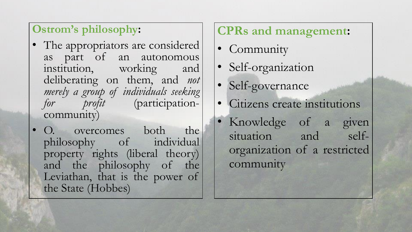#### **Ostrom's philosophy:**

- The appropriators are considered as part of an autonomous institution, working and deliberating on them, and *not merely a group of individuals seeking for profit* (participationcommunity)
- O. overcomes both the philosophy of individual property rights (liberal theory) and the philosophy of the Leviathan, that is the power of the State (Hobbes)

#### **CPRs and management:**

- Community
- Self-organization
- Self-governance
- Citizens create institutions
- Knowledge of a given situation and selforganization of a restricted community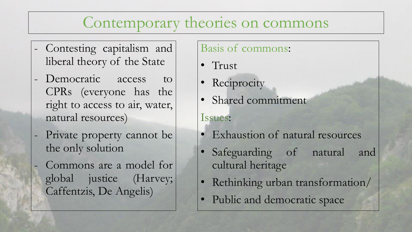### Contemporary theories on commons

- Contesting capitalism and liberal theory of the State
- Democratic access to CPRs (everyone has the right to access to air, water, natural resources)
- Private property cannot be the only solution
- Commons are a model for global justice (Harvey; Caffentzis, De Angelis)

#### Basis of commons:

- Trust
- Reciprocity
- Shared commitment
- Issues:
- Exhaustion of natural resources
- Safeguarding of natural and cultural heritage
- Rethinking urban transformation/
- Public and democratic space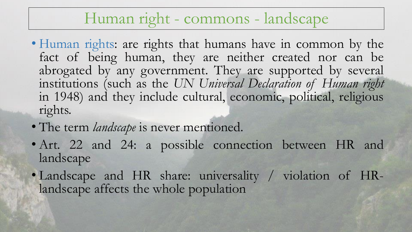### Human right - commons - landscape

- Human rights: are rights that humans have in common by the fact of being human, they are neither created nor can be abrogated by any government. They are supported by several institutions (such as the *UN Universal Declaration of Human right* in 1948) and they include cultural, economic, political, religious rights.
- The term *landscape* is never mentioned.
- Art. 22 and 24: a possible connection between HR and landscape
- Landscape and HR share: universality / violation of HRlandscape affects the whole population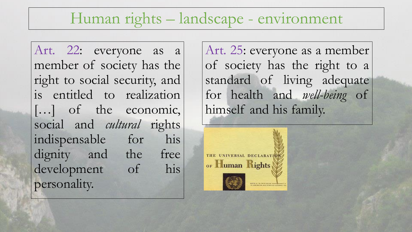### Human rights – landscape - environment

Art. 22: everyone as a member of society has the right to social security, and is entitled to realization [...] of the economic, social and *cultural* rights indispensable for his dignity and the free development of his personality.

Art. 25: everyone as a member of society has the right to a standard of living adequate for health and *well-being* of himself and his family.

THE UNIVERSAL DECLARATI or Human Rights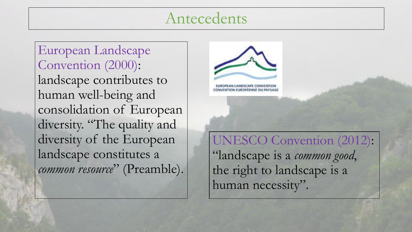### Antecedents

European Landscape Convention (2000): landscape contributes to human well-being and consolidation of European diversity. "The quality and diversity of the European landscape constitutes a *common resource*" (Preamble).



UNESCO Convention (2012): "landscape is a *common good*, the right to landscape is a human necessity".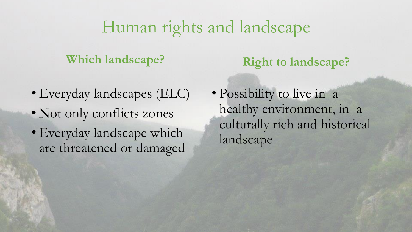## Human rights and landscape

#### **Which landscape?**

- Everyday landscapes (ELC)
- Not only conflicts zones
- Everyday landscape which are threatened or damaged

**Right to landscape?**

• Possibility to live in a healthy environment, in a culturally rich and historical landscape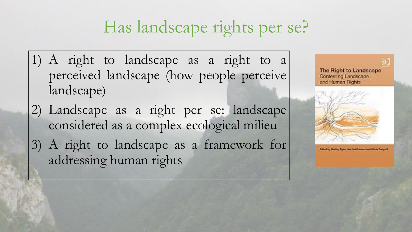# Has landscape rights per se?

- 1) A right to landscape as a right to a perceived landscape (how people perceive landscape)
- 2) Landscape as a right per se: landscape considered as a complex ecological milieu
- 3) A right to landscape as a framework for addressing human rights





**Culture by Mediay Cipic, Jula Matchessers and Mode Purigett**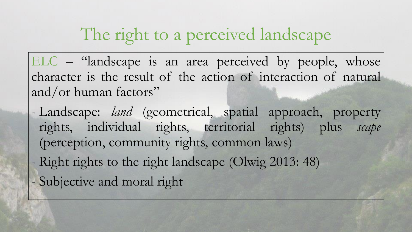# The right to a perceived landscape

ELC – "landscape is an area perceived by people, whose character is the result of the action of interaction of natural and/or human factors"

- Landscape: *land* (geometrical, spatial approach, property rights, individual rights, territorial rights) plus *scape* (perception, community rights, common laws)
- Right rights to the right landscape (Olwig 2013: 48)
- Subjective and moral right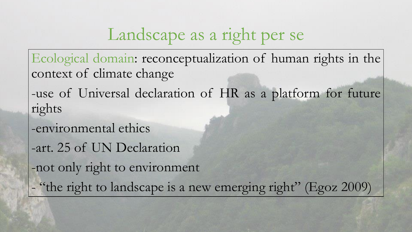# Landscape as a right per se

Ecological domain: reconceptualization of human rights in the context of climate change

-use of Universal declaration of HR as a platform for future rights

- -environmental ethics
- -art. 25 of UN Declaration

-not only right to environment

- "the right to landscape is a new emerging right" (Egoz 2009)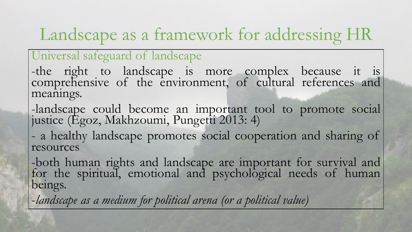# Landscape as a framework for addressing HR

#### Universal safeguard of landscape

-the right to landscape is more complex because it is comprehensive of the environment, of cultural references and meanings.

-landscape could become an important tool to promote social justice (Egoz, Makhzoumi, Pungetti 2013: 4)

- a healthy landscape promotes social cooperation and sharing of resources

-both human rights and landscape are important for survival and for the spiritual, emotional and psychological needs of human beings.

-*landscape as a medium for political arena (or a political value)*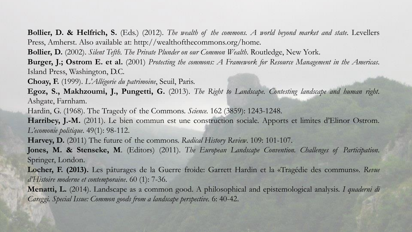**Bollier, D. & Helfrich, S.** (Eds.) (2012). *The wealth of the commons. A world beyond market and state*. Levellers Press, Amherst. Also available at: http://wealthofthecommons.org/home.

**Bollier, D.** (2002). *Silent Tefth. The Private Plunder on our Common Wealth*. Routledge, New York.

Burger, J.; Ostrom E. et al. (2001) Protecting the commons: A Framework for Resource Management in the Americas. Island Press, Washington, D.C.

**Choay, F.** (1999). *L'Allégorie du patrimoine*, Seuil, Paris.

**Egoz, S., Makhzoumi, J., Pungetti, G.** (2013). *The Right to Landscape. Contesting landscape and human right*. Ashgate, Farnham.

Hardin, G. (1968). The Tragedy of the Commons. *Science.* 162 (3859): 1243-1248.

**Harribey, J.-M.** (2011). Le bien commun est une construction sociale. Apports et limites d'Elinor Ostrom. *L'ecomonie politique*. 49(1): 98-112.

**Harvey, D.** (2011) The future of the commons. *Radical History Review*. 109: 101-107.

**Jones, M. & Stenseke, M**. (Editors) (2011). *The European Landscape Convention. Challenges of Participation*. Springer, London.

**Locher, F. (2013).** Les pâturages de la Guerre froide: Garrett Hardin et la «Tragédie des communs». *Revue d'Histoire moderne et contemporaine*. 60 (1): 7-36.

**Menatti, L.** (2014). Landscape as a common good. A philosophical and epistemological analysis. *I quaderni di Careggi. Special Issue: Common goods from a landscape perspective.* 6: 40-42.